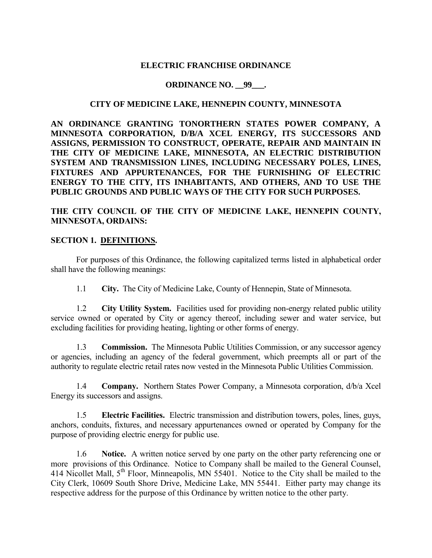### **ELECTRIC FRANCHISE ORDINANCE**

### **ORDINANCE NO. 99 ·**

### **CITY OF MEDICINE LAKE, HENNEPIN COUNTY, MINNESOTA**

**AN ORDINANCE GRANTING TONORTHERN STATES POWER COMPANY, A MINNESOTA CORPORATION, D/B/A XCEL ENERGY, ITS SUCCESSORS AND ASSIGNS, PERMISSION TO CONSTRUCT, OPERATE, REPAIR AND MAINTAIN IN THE CITY OF MEDICINE LAKE, MINNESOTA, AN ELECTRIC DISTRIBUTION SYSTEM AND TRANSMISSION LINES, INCLUDING NECESSARY POLES, LINES, FIXTURES AND APPURTENANCES, FOR THE FURNISHING OF ELECTRIC ENERGY TO THE CITY, ITS INHABITANTS, AND OTHERS, AND TO USE THE PUBLIC GROUNDS AND PUBLIC WAYS OF THE CITY FOR SUCH PURPOSES.**

**THE CITY COUNCIL OF THE CITY OF MEDICINE LAKE, HENNEPIN COUNTY, MINNESOTA, ORDAINS:**

### **SECTION 1. DEFINITIONS.**

For purposes of this Ordinance, the following capitalized terms listed in alphabetical order shall have the following meanings:

1.1 **City.** The City of Medicine Lake, County of Hennepin, State of Minnesota.

1.2 **City Utility System.** Facilities used for providing non-energy related public utility service owned or operated by City or agency thereof, including sewer and water service, but excluding facilities for providing heating, lighting or other forms of energy.

1.3 **Commission.** The Minnesota Public Utilities Commission, or any successor agency or agencies, including an agency of the federal government, which preempts all or part of the authority to regulate electric retail rates now vested in the Minnesota Public Utilities Commission.

1.4 **Company.** Northern States Power Company, a Minnesota corporation, d/b/a Xcel Energy its successors and assigns.

1.5 **Electric Facilities.** Electric transmission and distribution towers, poles, lines, guys, anchors, conduits, fixtures, and necessary appurtenances owned or operated by Company for the purpose of providing electric energy for public use.

1.6 **Notice.** A written notice served by one party on the other party referencing one or more provisions of this Ordinance. Notice to Company shall be mailed to the General Counsel, 414 Nicollet Mall, 5<sup>th</sup> Floor, Minneapolis, MN 55401. Notice to the City shall be mailed to the City Clerk, 10609 South Shore Drive, Medicine Lake, MN 55441. Either party may change its respective address for the purpose of this Ordinance by written notice to the other party.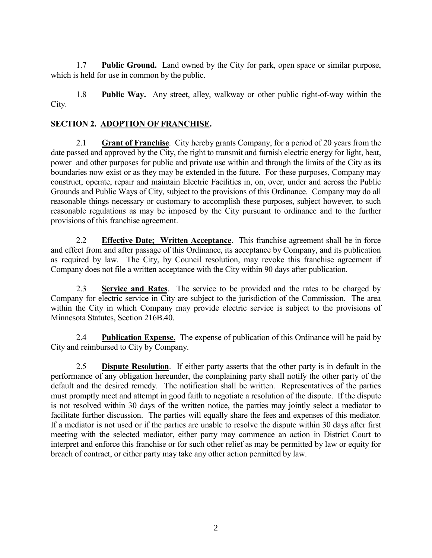1.7 **Public Ground.** Land owned by the City for park, open space or similar purpose, which is held for use in common by the public.

1.8 **Public Way.** Any street, alley, walkway or other public right-of-way within the City.

# **SECTION 2. ADOPTION OF FRANCHISE.**

2.1 **Grant of Franchise**. City hereby grants Company, for a period of 20 years from the date passed and approved by the City, the right to transmit and furnish electric energy for light, heat, power and other purposes for public and private use within and through the limits of the City as its boundaries now exist or as they may be extended in the future. For these purposes, Company may construct, operate, repair and maintain Electric Facilities in, on, over, under and across the Public Grounds and Public Ways of City, subject to the provisions of this Ordinance. Company may do all reasonable things necessary or customary to accomplish these purposes, subject however, to such reasonable regulations as may be imposed by the City pursuant to ordinance and to the further provisions of this franchise agreement.

2.2 **Effective Date; Written Acceptance**. This franchise agreement shall be in force and effect from and after passage of this Ordinance, its acceptance by Company, and its publication as required by law. The City, by Council resolution, may revoke this franchise agreement if Company does not file a written acceptance with the City within 90 days after publication.

2.3 **Service and Rates**. The service to be provided and the rates to be charged by Company for electric service in City are subject to the jurisdiction of the Commission. The area within the City in which Company may provide electric service is subject to the provisions of Minnesota Statutes, Section 216B.40.

2.4 **Publication Expense**. The expense of publication of this Ordinance will be paid by City and reimbursed to City by Company.

2.5 **Dispute Resolution**. If either party asserts that the other party is in default in the performance of any obligation hereunder, the complaining party shall notify the other party of the default and the desired remedy. The notification shall be written. Representatives of the parties must promptly meet and attempt in good faith to negotiate a resolution of the dispute. If the dispute is not resolved within 30 days of the written notice, the parties may jointly select a mediator to facilitate further discussion. The parties will equally share the fees and expenses of this mediator. If a mediator is not used or if the parties are unable to resolve the dispute within 30 days after first meeting with the selected mediator, either party may commence an action in District Court to interpret and enforce this franchise or for such other relief as may be permitted by law or equity for breach of contract, or either party may take any other action permitted by law.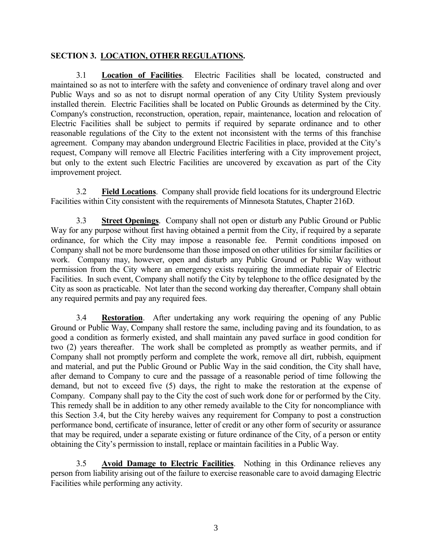## **SECTION 3. LOCATION, OTHER REGULATIONS.**

3.1 **Location of Facilities**. Electric Facilities shall be located, constructed and maintained so as not to interfere with the safety and convenience of ordinary travel along and over Public Ways and so as not to disrupt normal operation of any City Utility System previously installed therein. Electric Facilities shall be located on Public Grounds as determined by the City. Company's construction, reconstruction, operation, repair, maintenance, location and relocation of Electric Facilities shall be subject to permits if required by separate ordinance and to other reasonable regulations of the City to the extent not inconsistent with the terms of this franchise agreement. Company may abandon underground Electric Facilities in place, provided at the City's request, Company will remove all Electric Facilities interfering with a City improvement project, but only to the extent such Electric Facilities are uncovered by excavation as part of the City improvement project.

3.2 **Field Locations**. Company shall provide field locations for its underground Electric Facilities within City consistent with the requirements of Minnesota Statutes, Chapter 216D.

3.3 **Street Openings**. Company shall not open or disturb any Public Ground or Public Way for any purpose without first having obtained a permit from the City, if required by a separate ordinance, for which the City may impose a reasonable fee. Permit conditions imposed on Company shall not be more burdensome than those imposed on other utilities for similar facilities or work. Company may, however, open and disturb any Public Ground or Public Way without permission from the City where an emergency exists requiring the immediate repair of Electric Facilities. In such event, Company shall notify the City by telephone to the office designated by the City as soon as practicable. Not later than the second working day thereafter, Company shall obtain any required permits and pay any required fees.

3.4 **Restoration**. After undertaking any work requiring the opening of any Public Ground or Public Way, Company shall restore the same, including paving and its foundation, to as good a condition as formerly existed, and shall maintain any paved surface in good condition for two (2) years thereafter. The work shall be completed as promptly as weather permits, and if Company shall not promptly perform and complete the work, remove all dirt, rubbish, equipment and material, and put the Public Ground or Public Way in the said condition, the City shall have, after demand to Company to cure and the passage of a reasonable period of time following the demand, but not to exceed five (5) days, the right to make the restoration at the expense of Company. Company shall pay to the City the cost of such work done for or performed by the City. This remedy shall be in addition to any other remedy available to the City for noncompliance with this Section 3.4, but the City hereby waives any requirement for Company to post a construction performance bond, certificate of insurance, letter of credit or any other form of security or assurance that may be required, under a separate existing or future ordinance of the City, of a person or entity obtaining the City's permission to install, replace or maintain facilities in a Public Way.

3.5 **Avoid Damage to Electric Facilities**. Nothing in this Ordinance relieves any person from liability arising out of the failure to exercise reasonable care to avoid damaging Electric Facilities while performing any activity.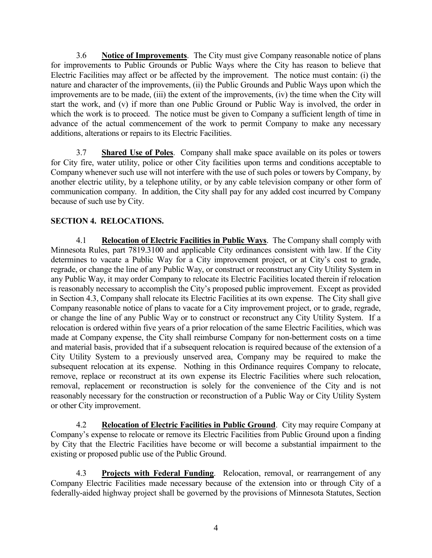3.6 **Notice of Improvements**. The City must give Company reasonable notice of plans for improvements to Public Grounds or Public Ways where the City has reason to believe that Electric Facilities may affect or be affected by the improvement. The notice must contain: (i) the nature and character of the improvements, (ii) the Public Grounds and Public Ways upon which the improvements are to be made, (iii) the extent of the improvements, (iv) the time when the City will start the work, and (v) if more than one Public Ground or Public Way is involved, the order in which the work is to proceed. The notice must be given to Company a sufficient length of time in advance of the actual commencement of the work to permit Company to make any necessary additions, alterations or repairs to its Electric Facilities.

3.7 **Shared Use of Poles**. Company shall make space available on its poles or towers for City fire, water utility, police or other City facilities upon terms and conditions acceptable to Company whenever such use will not interfere with the use of such poles or towers by Company, by another electric utility, by a telephone utility, or by any cable television company or other form of communication company. In addition, the City shall pay for any added cost incurred by Company because of such use by City.

# **SECTION 4. RELOCATIONS.**

4.1 **Relocation of Electric Facilities in Public Ways**. The Company shall comply with Minnesota Rules, part 7819.3100 and applicable City ordinances consistent with law. If the City determines to vacate a Public Way for a City improvement project, or at City's cost to grade, regrade, or change the line of any Public Way, or construct or reconstruct any City Utility System in any Public Way, it may order Company to relocate its Electric Facilities located therein if relocation is reasonably necessary to accomplish the City's proposed public improvement. Except as provided in Section 4.3, Company shall relocate its Electric Facilities at its own expense. The City shall give Company reasonable notice of plans to vacate for a City improvement project, or to grade, regrade, or change the line of any Public Way or to construct or reconstruct any City Utility System. If a relocation is ordered within five years of a prior relocation of the same Electric Facilities, which was made at Company expense, the City shall reimburse Company for non-betterment costs on a time and material basis, provided that if a subsequent relocation is required because of the extension of a City Utility System to a previously unserved area, Company may be required to make the subsequent relocation at its expense. Nothing in this Ordinance requires Company to relocate, remove, replace or reconstruct at its own expense its Electric Facilities where such relocation, removal, replacement or reconstruction is solely for the convenience of the City and is not reasonably necessary for the construction or reconstruction of a Public Way or City Utility System or other City improvement.

4.2 **Relocation of Electric Facilities in Public Ground**. City may require Company at Company's expense to relocate or remove its Electric Facilities from Public Ground upon a finding by City that the Electric Facilities have become or will become a substantial impairment to the existing or proposed public use of the Public Ground.

4.3 **Projects with Federal Funding**. Relocation, removal, or rearrangement of any Company Electric Facilities made necessary because of the extension into or through City of a federally-aided highway project shall be governed by the provisions of Minnesota Statutes, Section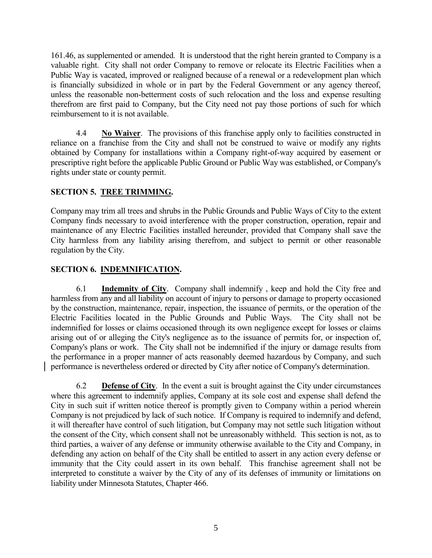161.46, as supplemented or amended. It is understood that the right herein granted to Company is a valuable right. City shall not order Company to remove or relocate its Electric Facilities when a Public Way is vacated, improved or realigned because of a renewal or a redevelopment plan which is financially subsidized in whole or in part by the Federal Government or any agency thereof, unless the reasonable non-betterment costs of such relocation and the loss and expense resulting therefrom are first paid to Company, but the City need not pay those portions of such for which reimbursement to it is not available.

4.4 **No Waiver**. The provisions of this franchise apply only to facilities constructed in reliance on a franchise from the City and shall not be construed to waive or modify any rights obtained by Company for installations within a Company right-of-way acquired by easement or prescriptive right before the applicable Public Ground or Public Way was established, or Company's rights under state or county permit.

# **SECTION 5. TREE TRIMMING.**

Company may trim all trees and shrubs in the Public Grounds and Public Ways of City to the extent Company finds necessary to avoid interference with the proper construction, operation, repair and maintenance of any Electric Facilities installed hereunder, provided that Company shall save the City harmless from any liability arising therefrom, and subject to permit or other reasonable regulation by the City.

## **SECTION 6. INDEMNIFICATION.**

6.1 **Indemnity of City**. Company shall indemnify , keep and hold the City free and harmless from any and all liability on account of injury to persons or damage to property occasioned by the construction, maintenance, repair, inspection, the issuance of permits, or the operation of the Electric Facilities located in the Public Grounds and Public Ways. The City shall not be indemnified for losses or claims occasioned through its own negligence except for losses or claims arising out of or alleging the City's negligence as to the issuance of permits for, or inspection of, Company's plans or work. The City shall not be indemnified if the injury or damage results from the performance in a proper manner of acts reasonably deemed hazardous by Company, and such performance is nevertheless ordered or directed by City after notice of Company's determination.

6.2 **Defense of City**. In the event a suit is brought against the City under circumstances where this agreement to indemnify applies, Company at its sole cost and expense shall defend the City in such suit if written notice thereof is promptly given to Company within a period wherein Company is not prejudiced by lack of such notice. If Company is required to indemnify and defend, it will thereafter have control of such litigation, but Company may not settle such litigation without the consent of the City, which consent shall not be unreasonably withheld. This section is not, as to third parties, a waiver of any defense or immunity otherwise available to the City and Company, in defending any action on behalf of the City shall be entitled to assert in any action every defense or immunity that the City could assert in its own behalf. This franchise agreement shall not be interpreted to constitute a waiver by the City of any of its defenses of immunity or limitations on liability under Minnesota Statutes, Chapter 466.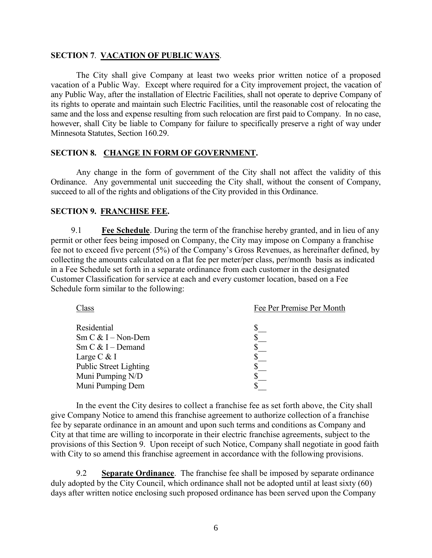### **SECTION 7**. **VACATION OF PUBLIC WAYS**.

The City shall give Company at least two weeks prior written notice of a proposed vacation of a Public Way. Except where required for a City improvement project, the vacation of any Public Way, after the installation of Electric Facilities, shall not operate to deprive Company of its rights to operate and maintain such Electric Facilities, until the reasonable cost of relocating the same and the loss and expense resulting from such relocation are first paid to Company. In no case, however, shall City be liable to Company for failure to specifically preserve a right of way under Minnesota Statutes, Section 160.29.

#### **SECTION 8. CHANGE IN FORM OF GOVERNMENT.**

Any change in the form of government of the City shall not affect the validity of this Ordinance. Any governmental unit succeeding the City shall, without the consent of Company, succeed to all of the rights and obligations of the City provided in this Ordinance.

### **SECTION 9. FRANCHISE FEE.**

9.1 **Fee Schedule**. During the term of the franchise hereby granted, and in lieu of any permit or other fees being imposed on Company, the City may impose on Company a franchise fee not to exceed five percent (5%) of the Company's Gross Revenues, as hereinafter defined, by collecting the amounts calculated on a flat fee per meter/per class, per/month basis as indicated in a Fee Schedule set forth in a separate ordinance from each customer in the designated Customer Classification for service at each and every customer location, based on a Fee Schedule form similar to the following:

| Class                                           | Fee Per Premise Per Month |
|-------------------------------------------------|---------------------------|
| Residential                                     |                           |
| $Sm C & I - Non-Dem$                            |                           |
| $\text{Sm} \subset \& \text{I} - \text{Demand}$ |                           |
| Large $C \& I$                                  |                           |
| <b>Public Street Lighting</b>                   |                           |
| Muni Pumping N/D                                |                           |
| Muni Pumping Dem                                |                           |
|                                                 |                           |

In the event the City desires to collect a franchise fee as set forth above, the City shall give Company Notice to amend this franchise agreement to authorize collection of a franchise fee by separate ordinance in an amount and upon such terms and conditions as Company and City at that time are willing to incorporate in their electric franchise agreements, subject to the provisions of this Section 9. Upon receipt of such Notice, Company shall negotiate in good faith with City to so amend this franchise agreement in accordance with the following provisions.

9.2 **Separate Ordinance**. The franchise fee shall be imposed by separate ordinance duly adopted by the City Council, which ordinance shall not be adopted until at least sixty (60) days after written notice enclosing such proposed ordinance has been served upon the Company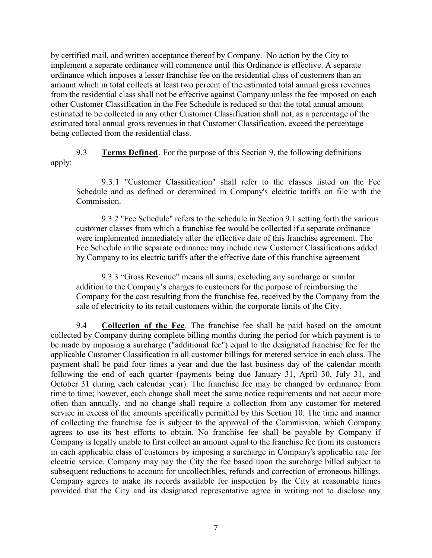by certified mail, and written acceptance thereof by Company. No action by the City to implement a separate ordinance will commence until this Ordinance is effective. A separate ordinance which imposes a lesser franchise fee on the residential class of customers than an amount which in total collects at least two percent of the estimated total annual gross revenues from the residential class shall not be effective against Company unless the fee imposed on each other Customer Classification in the Fee Schedule is reduced so that the total annual amount estimated to be collected in any other Customer Classification shall not, as a percentage of the estimated total annual gross revenues in that Customer Classification, exceed the percentage being collected from the residential class.

9.3 **Terms Defined**. For the purpose of this Section 9, the following definitions apply:

9.3.1 "Customer Classification" shall refer to the classes listed on the Fee Schedule and as defined or determined in Company's electric tariffs on file with the Commission.

9.3.2 "Fee Schedule" refers to the schedule in Section 9.1 setting forth the various customer classes from which a franchise fee would be collected if a separate ordinance were implemented immediately after the effective date of this franchise agreement. The Fee Schedule in the separate ordinance may include new Customer Classifications added by Company to its electric tariffs after the effective date of this franchise agreement

9.3.3 "Gross Revenue" means all sums, excluding any surcharge or similar addition to the Company's charges to customers for the purpose of reimbursing the Company for the cost resulting from the franchise fee, received by the Company from the sale of electricity to its retail customers within the corporate limits of the City.

9.4 **Collection of the Fee**. The franchise fee shall be paid based on the amount collected by Company during complete billing months during the period for which payment is to be made by imposing a surcharge ("additional fee") equal to the designated franchise fee for the applicable Customer Classification in all customer billings for metered service in each class. The payment shall be paid four times a year and due the last business day of the calendar month following the end of each quarter (payments being due January 31, April 30, July 31, and October 31 during each calendar year). The franchise fee may be changed by ordinance from time to time; however, each change shall meet the same notice requirements and not occur more often than annually, and no change shall require a collection from any customer for metered service in excess of the amounts specifically permitted by this Section 10. The time and manner of collecting the franchise fee is subject to the approval of the Commission, which Company agrees to use its best efforts to obtain. No franchise fee shall be payable by Company if Company is legally unable to first collect an amount equal to the franchise fee from its customers in each applicable class of customers by imposing a surcharge in Company's applicable rate for electric service. Company may pay the City the fee based upon the surcharge billed subject to subsequent reductions to account for uncollectibles, refunds and correction of erroneous billings. Company agrees to make its records available for inspection by the City at reasonable times provided that the City and its designated representative agree in writing not to disclose any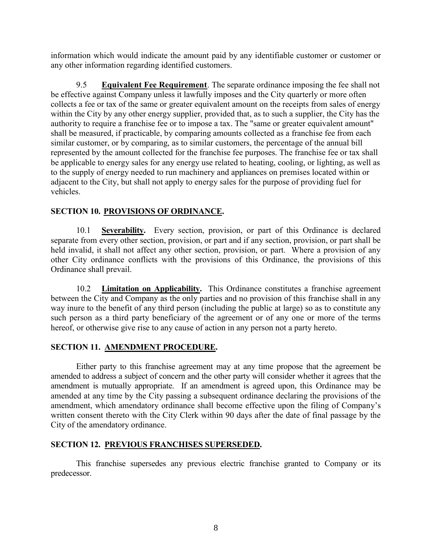information which would indicate the amount paid by any identifiable customer or customer or any other information regarding identified customers.

9.5 **Equivalent Fee Requirement**. The separate ordinance imposing the fee shall not be effective against Company unless it lawfully imposes and the City quarterly or more often collects a fee or tax of the same or greater equivalent amount on the receipts from sales of energy within the City by any other energy supplier, provided that, as to such a supplier, the City has the authority to require a franchise fee or to impose a tax. The "same or greater equivalent amount" shall be measured, if practicable, by comparing amounts collected as a franchise fee from each similar customer, or by comparing, as to similar customers, the percentage of the annual bill represented by the amount collected for the franchise fee purposes. The franchise fee or tax shall be applicable to energy sales for any energy use related to heating, cooling, or lighting, as well as to the supply of energy needed to run machinery and appliances on premises located within or adjacent to the City, but shall not apply to energy sales for the purpose of providing fuel for vehicles.

## **SECTION 10. PROVISIONS OF ORDINANCE.**

10.1 **Severability.** Every section, provision, or part of this Ordinance is declared separate from every other section, provision, or part and if any section, provision, or part shall be held invalid, it shall not affect any other section, provision, or part. Where a provision of any other City ordinance conflicts with the provisions of this Ordinance, the provisions of this Ordinance shall prevail.

10.2 **Limitation on Applicability.** This Ordinance constitutes a franchise agreement between the City and Company as the only parties and no provision of this franchise shall in any way inure to the benefit of any third person (including the public at large) so as to constitute any such person as a third party beneficiary of the agreement or of any one or more of the terms hereof, or otherwise give rise to any cause of action in any person not a party hereto.

## **SECTION 11. AMENDMENT PROCEDURE.**

Either party to this franchise agreement may at any time propose that the agreement be amended to address a subject of concern and the other party will consider whether it agrees that the amendment is mutually appropriate. If an amendment is agreed upon, this Ordinance may be amended at any time by the City passing a subsequent ordinance declaring the provisions of the amendment, which amendatory ordinance shall become effective upon the filing of Company's written consent thereto with the City Clerk within 90 days after the date of final passage by the City of the amendatory ordinance.

## **SECTION 12. PREVIOUS FRANCHISES SUPERSEDED.**

This franchise supersedes any previous electric franchise granted to Company or its predecessor.